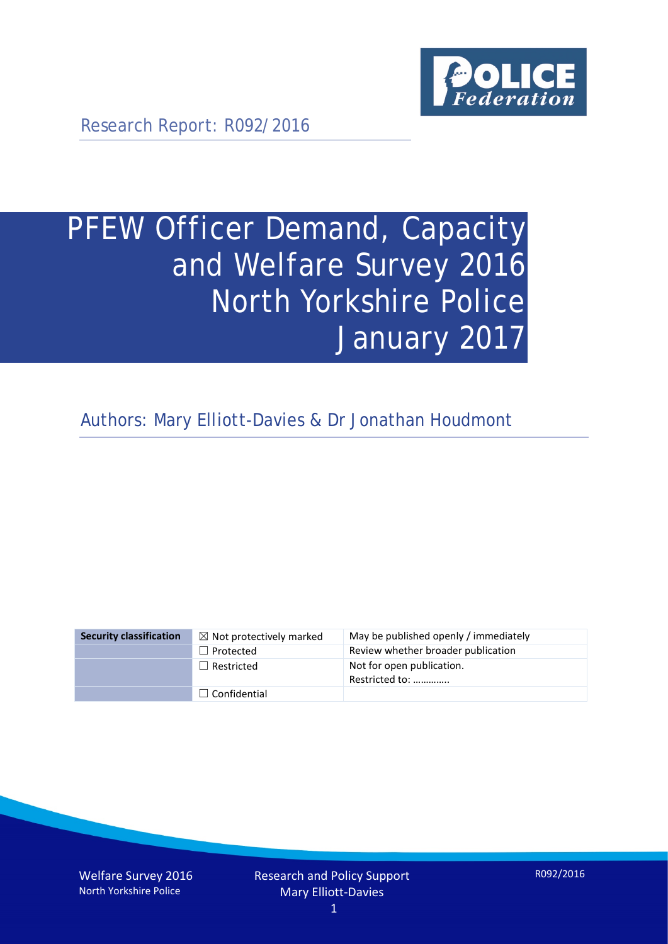

Research Report: R092/2016

# PFEW Officer Demand, Capacity and Welfare Survey 2016 North Yorkshire Police January 2017

Authors: Mary Elliott-Davies & Dr Jonathan Houdmont

| <b>Security classification</b> | $\boxtimes$ Not protectively marked | May be published openly / immediately       |
|--------------------------------|-------------------------------------|---------------------------------------------|
|                                | $\Box$ Protected                    | Review whether broader publication          |
|                                | $\Box$ Restricted                   | Not for open publication.<br>Restricted to: |
|                                | $\Box$ Confidential                 |                                             |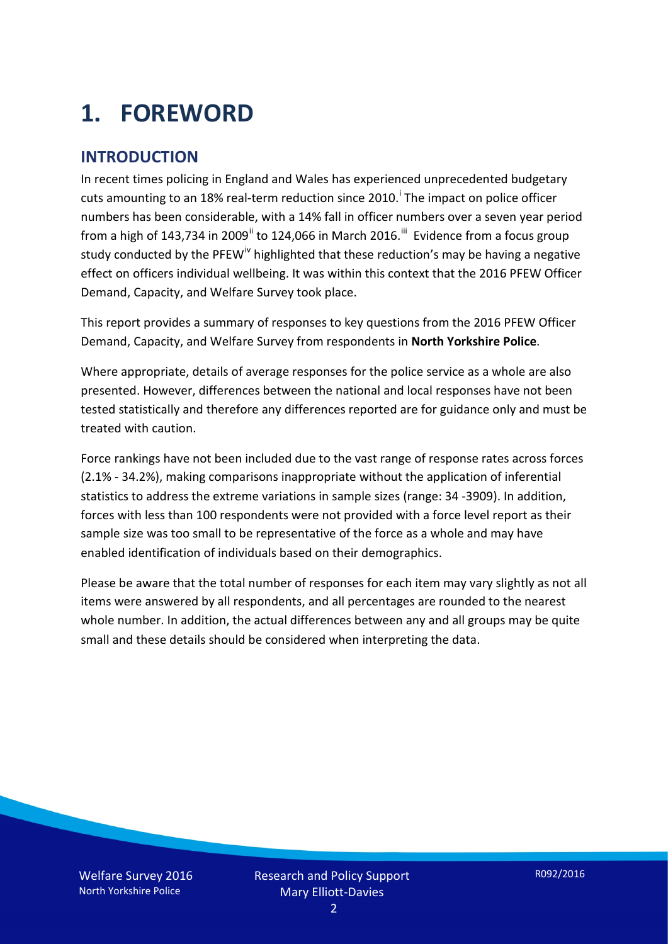# **1. FOREWORD**

#### **INTRODUCTION**

In recent times policing in England and Wales has experienced unprecedented budgetary cuts amount[i](#page-15-0)ng to an 18% real-term reduction since 2010.<sup>1</sup> The impact on police officer numbers has been considerable, with a 14% fall in officer numbers over a seven year period from a high of 143,734 in 2009<sup>[ii](#page-15-1)</sup> to 124,066 in March 2016.<sup>[iii](#page-15-2)</sup> Evidence from a focus group study conducted by the PFEW<sup>[iv](#page-15-3)</sup> highlighted that these reduction's may be having a negative effect on officers individual wellbeing. It was within this context that the 2016 PFEW Officer Demand, Capacity, and Welfare Survey took place.

This report provides a summary of responses to key questions from the 2016 PFEW Officer Demand, Capacity, and Welfare Survey from respondents in **North Yorkshire Police**.

Where appropriate, details of average responses for the police service as a whole are also presented. However, differences between the national and local responses have not been tested statistically and therefore any differences reported are for guidance only and must be treated with caution.

Force rankings have not been included due to the vast range of response rates across forces (2.1% - 34.2%), making comparisons inappropriate without the application of inferential statistics to address the extreme variations in sample sizes (range: 34 -3909). In addition, forces with less than 100 respondents were not provided with a force level report as their sample size was too small to be representative of the force as a whole and may have enabled identification of individuals based on their demographics.

Please be aware that the total number of responses for each item may vary slightly as not all items were answered by all respondents, and all percentages are rounded to the nearest whole number. In addition, the actual differences between any and all groups may be quite small and these details should be considered when interpreting the data.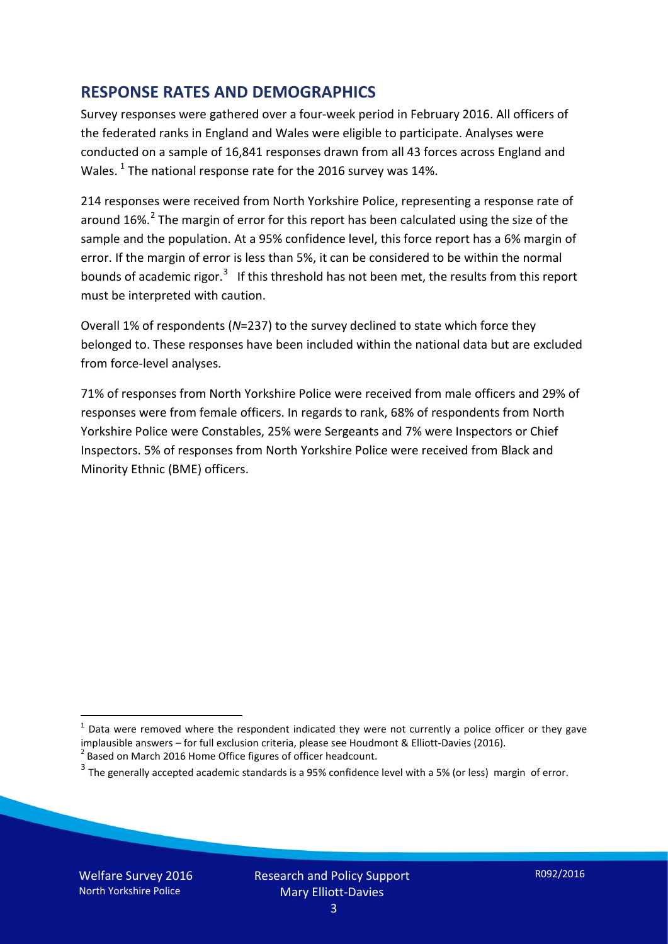#### **RESPONSE RATES AND DEMOGRAPHICS**

Survey responses were gathered over a four-week period in February 2016. All officers of the federated ranks in England and Wales were eligible to participate. Analyses were conducted on a sample of 16,841 responses drawn from all 43 forces across England and Wales.  $^1$  $^1$  The national response rate for the 2016 survey was 14%.

214 responses were received from North Yorkshire Police, representing a response rate of around 16%.<sup>[2](#page-2-1)</sup> The margin of error for this report has been calculated using the size of the sample and the population. At a 95% confidence level, this force report has a 6% margin of error. If the margin of error is less than 5%, it can be considered to be within the normal bounds of academic rigor.<sup>[3](#page-2-2)</sup> If this threshold has not been met, the results from this report must be interpreted with caution.

Overall 1% of respondents (*N*=237) to the survey declined to state which force they belonged to. These responses have been included within the national data but are excluded from force-level analyses.

71% of responses from North Yorkshire Police were received from male officers and 29% of responses were from female officers. In regards to rank, 68% of respondents from North Yorkshire Police were Constables, 25% were Sergeants and 7% were Inspectors or Chief Inspectors. 5% of responses from North Yorkshire Police were received from Black and Minority Ethnic (BME) officers.

<u>.</u>

<span id="page-2-0"></span> $1$  Data were removed where the respondent indicated they were not currently a police officer or they gave implausible answers – for full exclusion criteria, please see Houdmont & Elliott-Davies (2016).<br><sup>2</sup> Based on March 2016 Home Office figures of officer headcount.

<span id="page-2-1"></span>

<span id="page-2-2"></span> $3$  The generally accepted academic standards is a 95% confidence level with a 5% (or less) margin of error.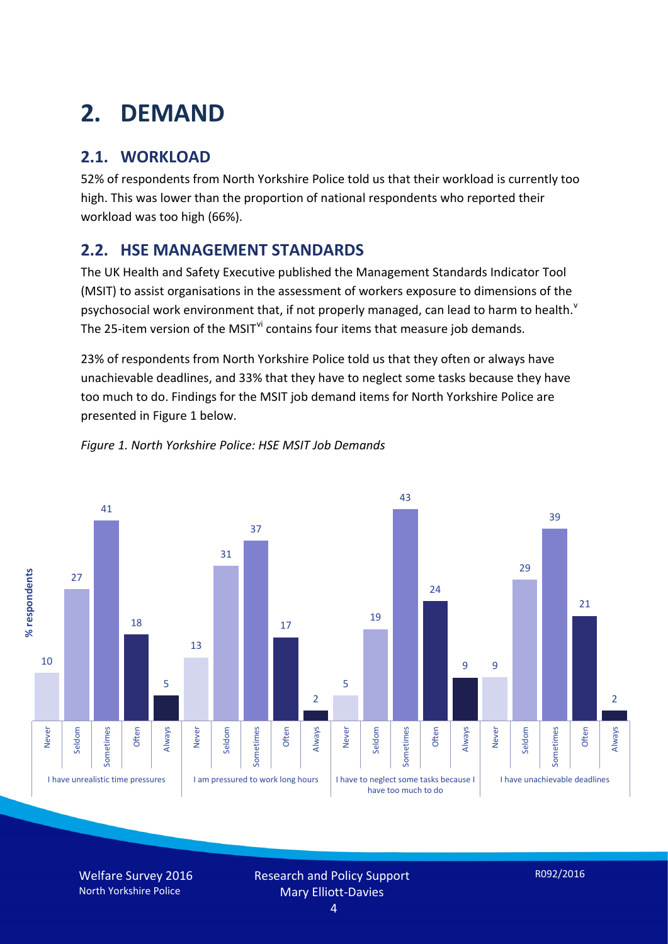# **2. DEMAND**

### **2.1. WORKLOAD**

52% of respondents from North Yorkshire Police told us that their workload is currently too high. This was lower than the proportion of national respondents who reported their workload was too high (66%).

### **2.2. HSE MANAGEMENT STANDARDS**

The UK Health and Safety Executive published the Management Standards Indicator Tool (MSIT) to assist organisations in the assessment of workers exposure to dimensions of the psychosocial work en[v](#page-15-4)ironment that, if not properly managed, can lead to harm to health.<sup>v</sup> The 25-item version of the MSIT<sup>[vi](#page-15-5)</sup> contains four items that measure job demands.

23% of respondents from North Yorkshire Police told us that they often or always have unachievable deadlines, and 33% that they have to neglect some tasks because they have too much to do. Findings for the MSIT job demand items for North Yorkshire Police are presented in Figure 1 below.



#### *Figure 1. North Yorkshire Police: HSE MSIT Job Demands*

Welfare Survey 2016 North Yorkshire Police

Research and Policy Support Mary Elliott-Davies

R092/2016

4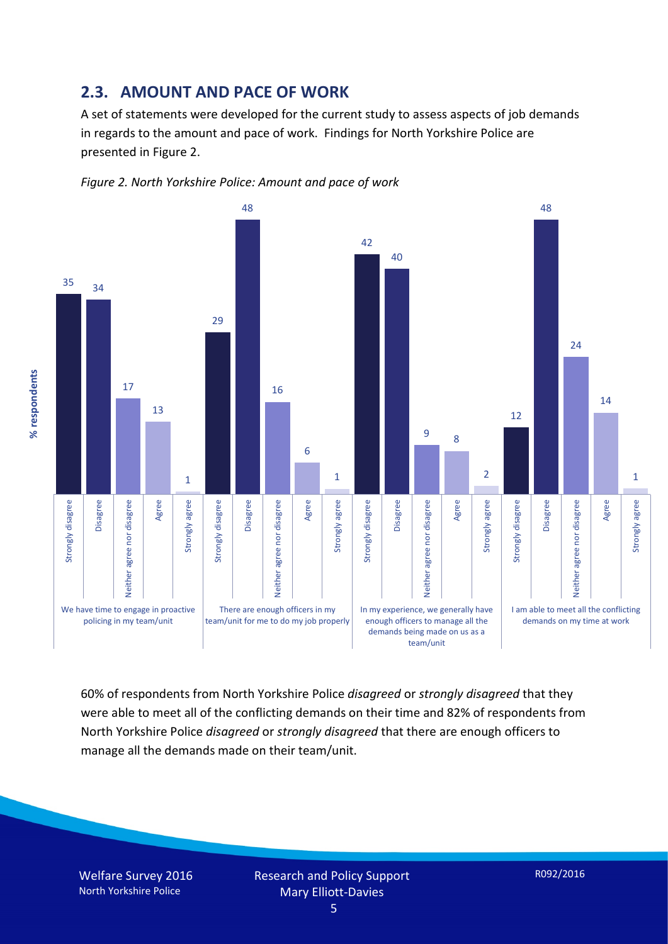#### **2.3. AMOUNT AND PACE OF WORK**

A set of statements were developed for the current study to assess aspects of job demands in regards to the amount and pace of work. Findings for North Yorkshire Police are presented in Figure 2.





60% of respondents from North Yorkshire Police *disagreed* or *strongly disagreed* that they were able to meet all of the conflicting demands on their time and 82% of respondents from North Yorkshire Police *disagreed* or *strongly disagreed* that there are enough officers to manage all the demands made on their team/unit.

Welfare Survey 2016 North Yorkshire Police

% respondents **% respondents**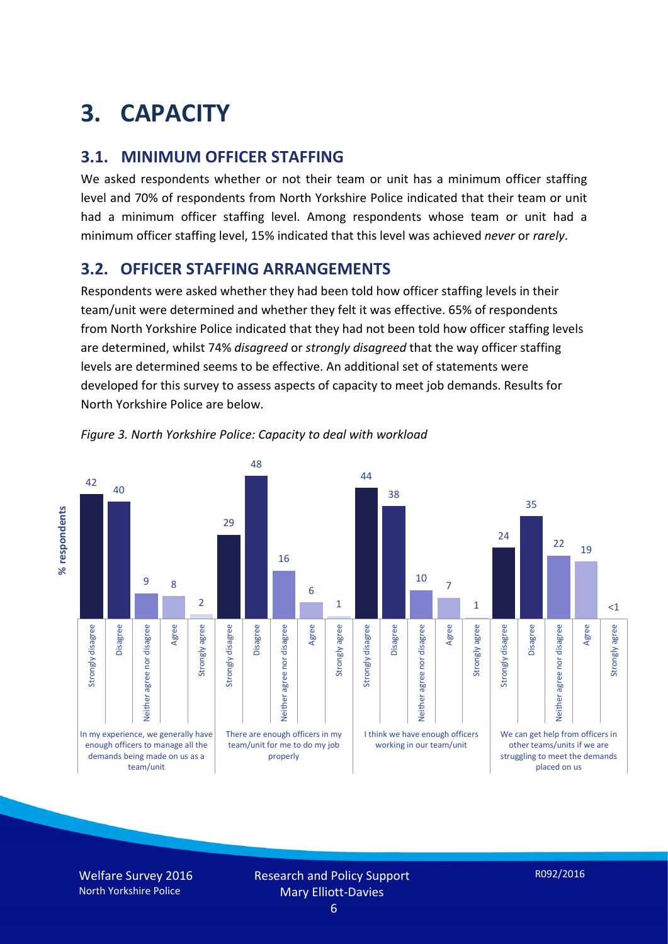# **3. CAPACITY**

#### **3.1. MINIMUM OFFICER STAFFING**

We asked respondents whether or not their team or unit has a minimum officer staffing level and 70% of respondents from North Yorkshire Police indicated that their team or unit had a minimum officer staffing level. Among respondents whose team or unit had a minimum officer staffing level, 15% indicated that this level was achieved *never* or *rarely*.

### **3.2. OFFICER STAFFING ARRANGEMENTS**

Respondents were asked whether they had been told how officer staffing levels in their team/unit were determined and whether they felt it was effective. 65% of respondents from North Yorkshire Police indicated that they had not been told how officer staffing levels are determined, whilst 74% *disagreed* or *strongly disagreed* that the way officer staffing levels are determined seems to be effective. An additional set of statements were developed for this survey to assess aspects of capacity to meet job demands. Results for North Yorkshire Police are below.





Welfare Survey 2016 North Yorkshire Police

Research and Policy Support Mary Elliott-Davies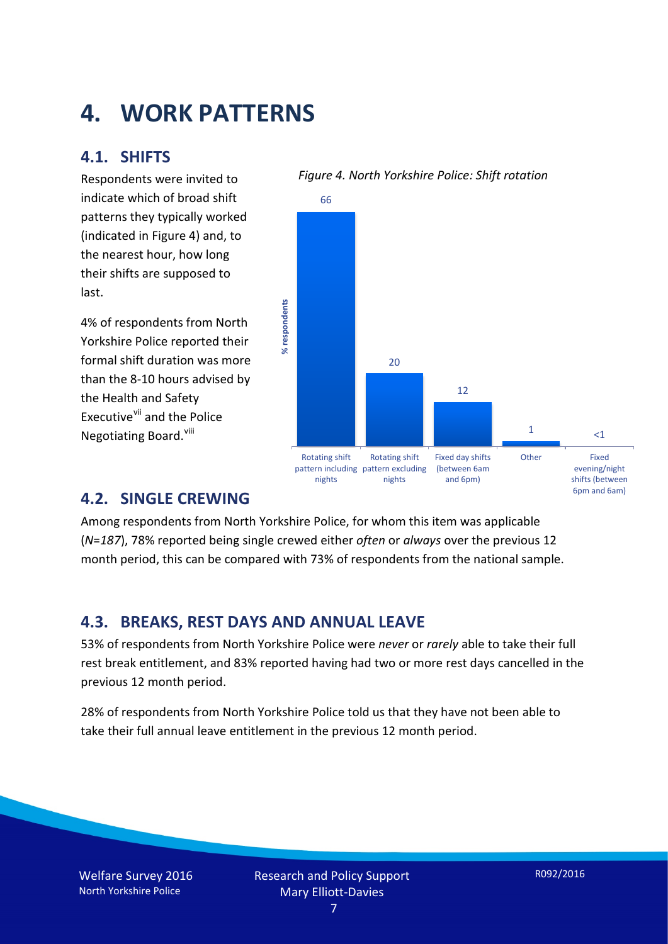### **4. WORK PATTERNS**

#### **4.1. SHIFTS**

Respondents were invited to indicate which of broad shift patterns they typically worked (indicated in Figure 4) and, to the nearest hour, how long their shifts are supposed to last.

4% of respondents from North Yorkshire Police reported their formal shift duration was more than the 8-10 hours advised by the Health and Safety Executive<sup>[vii](#page-15-6)</sup> and the Police Negotiating Board.<sup>[viii](#page-15-7)</sup>



### *Figure 4. North Yorkshire Police: Shift rotation*

#### **4.2. SINGLE CREWING**

Among respondents from North Yorkshire Police, for whom this item was applicable (*N*=*187*), 78% reported being single crewed either *often* or *always* over the previous 12 month period, this can be compared with 73% of respondents from the national sample.

#### **4.3. BREAKS, REST DAYS AND ANNUAL LEAVE**

53% of respondents from North Yorkshire Police were *never* or *rarely* able to take their full rest break entitlement, and 83% reported having had two or more rest days cancelled in the previous 12 month period.

28% of respondents from North Yorkshire Police told us that they have not been able to take their full annual leave entitlement in the previous 12 month period.

Welfare Survey 2016 North Yorkshire Police

6pm and 6am)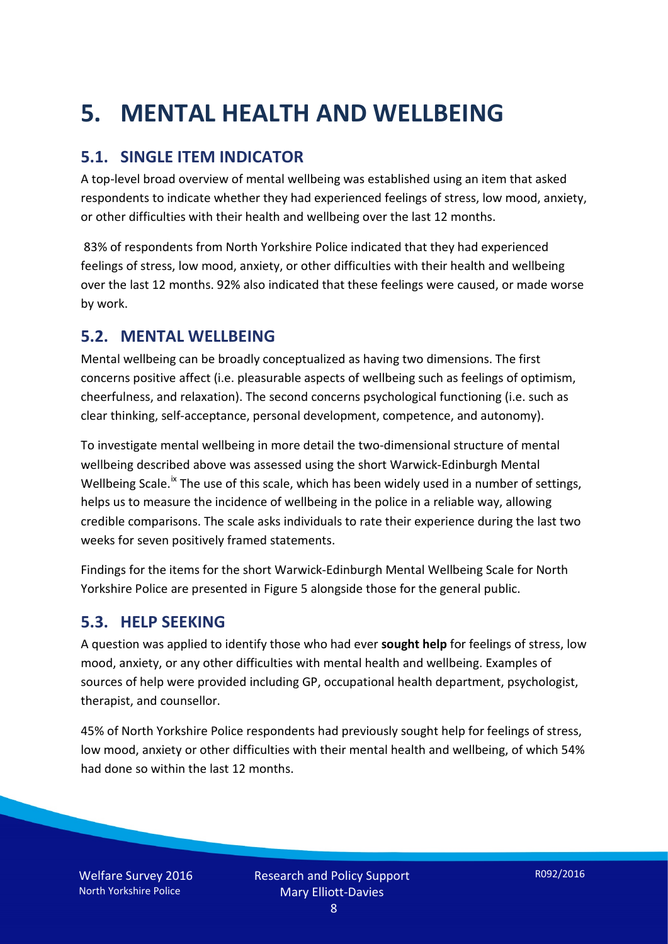# **5. MENTAL HEALTH AND WELLBEING**

### **5.1. SINGLE ITEM INDICATOR**

A top-level broad overview of mental wellbeing was established using an item that asked respondents to indicate whether they had experienced feelings of stress, low mood, anxiety, or other difficulties with their health and wellbeing over the last 12 months.

83% of respondents from North Yorkshire Police indicated that they had experienced feelings of stress, low mood, anxiety, or other difficulties with their health and wellbeing over the last 12 months. 92% also indicated that these feelings were caused, or made worse by work.

### **5.2. MENTAL WELLBEING**

Mental wellbeing can be broadly conceptualized as having two dimensions. The first concerns positive affect (i.e. pleasurable aspects of wellbeing such as feelings of optimism, cheerfulness, and relaxation). The second concerns psychological functioning (i.e. such as clear thinking, self-acceptance, personal development, competence, and autonomy).

To investigate mental wellbeing in more detail the two-dimensional structure of mental wellbeing described above was assessed using the short Warwick-Edinburgh Mental Wellbeing Scale.<sup>[ix](#page-15-8)</sup> The use of this scale, which has been widely used in a number of settings, helps us to measure the incidence of wellbeing in the police in a reliable way, allowing credible comparisons. The scale asks individuals to rate their experience during the last two weeks for seven positively framed statements.

Findings for the items for the short Warwick-Edinburgh Mental Wellbeing Scale for North Yorkshire Police are presented in Figure 5 alongside those for the general public.

#### **5.3. HELP SEEKING**

A question was applied to identify those who had ever **sought help** for feelings of stress, low mood, anxiety, or any other difficulties with mental health and wellbeing. Examples of sources of help were provided including GP, occupational health department, psychologist, therapist, and counsellor.

45% of North Yorkshire Police respondents had previously sought help for feelings of stress, low mood, anxiety or other difficulties with their mental health and wellbeing, of which 54% had done so within the last 12 months.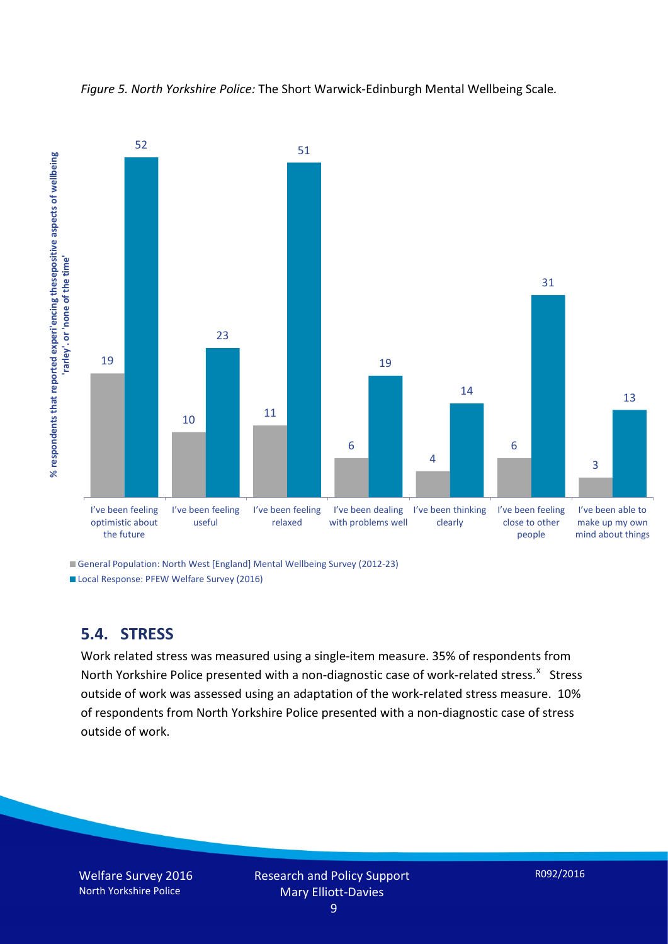



General Population: North West [England] Mental Wellbeing Survey (2012-23)

Local Response: PFEW Welfare Survey (2016)

#### **5.4. STRESS**

Work related stress was measured using a single-item measure. 35% of respondents from North Yorkshire Police presented with a non-diagnostic case of work-related stress.<sup>[x](#page-15-9)</sup> Stress outside of work was assessed using an adaptation of the work-related stress measure. 10% of respondents from North Yorkshire Police presented with a non-diagnostic case of stress outside of work.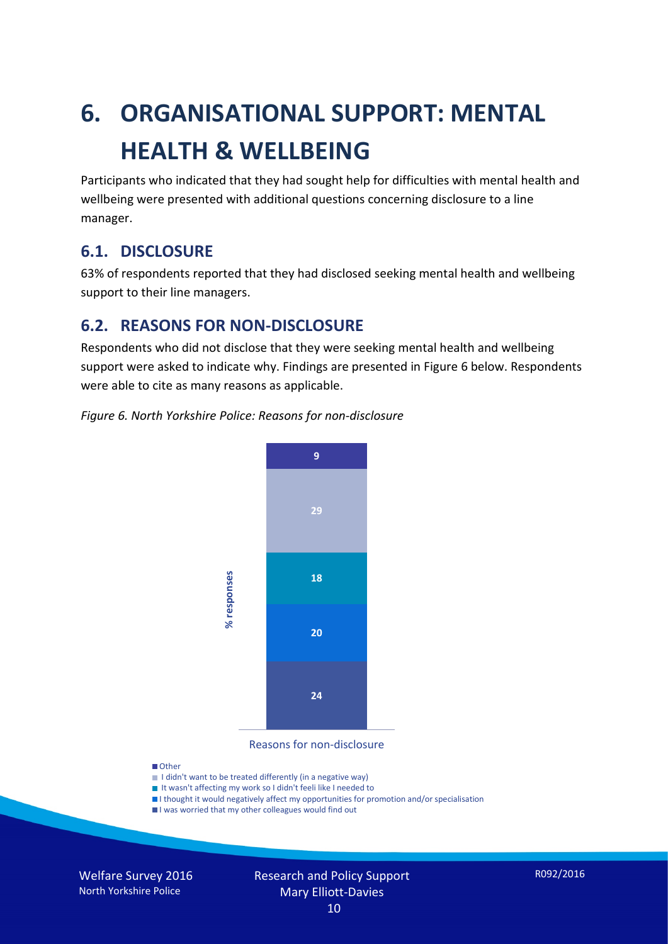# **6. ORGANISATIONAL SUPPORT: MENTAL HEALTH & WELLBEING**

Participants who indicated that they had sought help for difficulties with mental health and wellbeing were presented with additional questions concerning disclosure to a line manager.

#### **6.1. DISCLOSURE**

63% of respondents reported that they had disclosed seeking mental health and wellbeing support to their line managers.

#### **6.2. REASONS FOR NON-DISCLOSURE**

Respondents who did not disclose that they were seeking mental health and wellbeing support were asked to indicate why. Findings are presented in Figure 6 below. Respondents were able to cite as many reasons as applicable.





Reasons for non-disclosure

#### **D**Other

- I didn't want to be treated differently (in a negative way)
- I It wasn't affecting my work so I didn't feeli like I needed to
- I thought it would negatively affect my opportunities for promotion and/or specialisation
- I was worried that my other colleagues would find out

Welfare Survey 2016 North Yorkshire Police

### Research and Policy Support Mary Elliott-Davies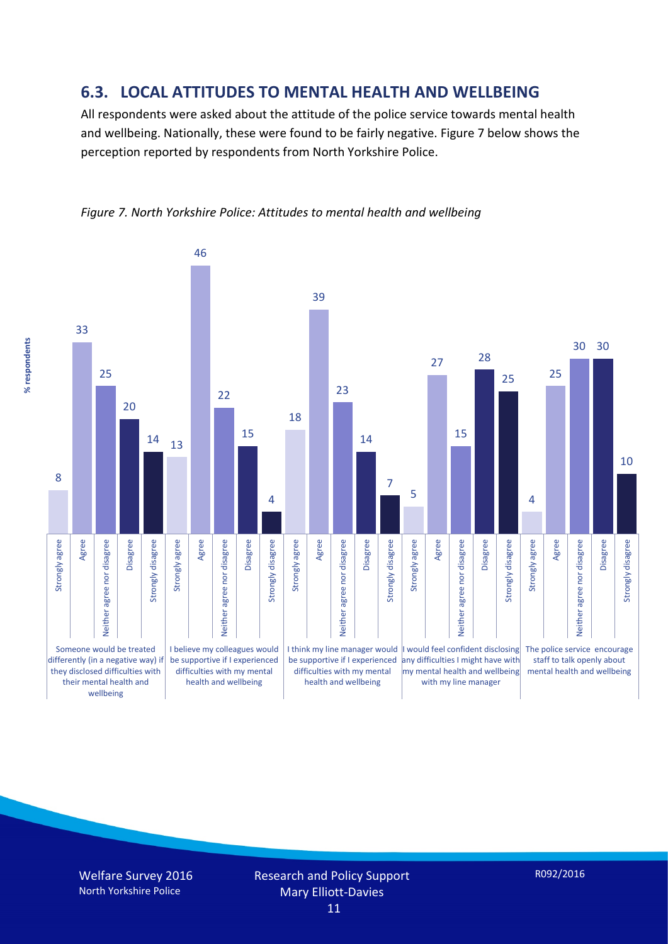#### **6.3. LOCAL ATTITUDES TO MENTAL HEALTH AND WELLBEING**

All respondents were asked about the attitude of the police service towards mental health and wellbeing. Nationally, these were found to be fairly negative. Figure 7 below shows the perception reported by respondents from North Yorkshire Police.



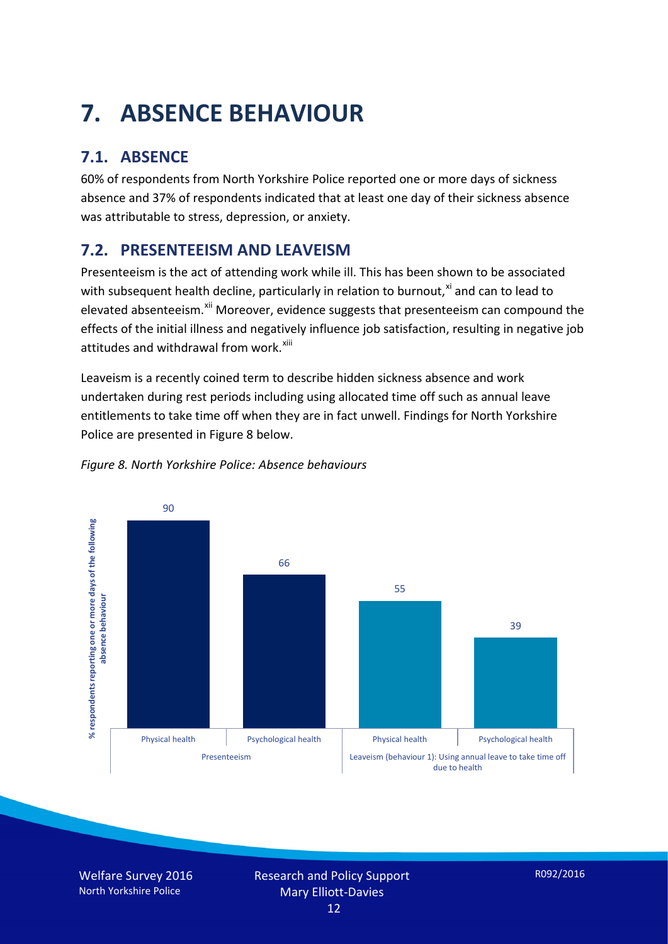# **7. ABSENCE BEHAVIOUR**

### **7.1. ABSENCE**

60% of respondents from North Yorkshire Police reported one or more days of sickness absence and 37% of respondents indicated that at least one day of their sickness absence was attributable to stress, depression, or anxiety.

### **7.2. PRESENTEEISM AND LEAVEISM**

Presenteeism is the act of attending work while ill. This has been shown to be associated with subsequent health decline, particularly in relation to burnout, $x_i$  and can to lead to elevated absenteeism.<sup>[xii](#page-16-1)</sup> Moreover, evidence suggests that presenteeism can compound the effects of the initial illness and negatively influence job satisfaction, resulting in negative job attitudes and withdrawal from work.<sup>[xiii](#page-16-2)</sup>

Leaveism is a recently coined term to describe hidden sickness absence and work undertaken during rest periods including using allocated time off such as annual leave entitlements to take time off when they are in fact unwell. Findings for North Yorkshire Police are presented in Figure 8 below.



#### *Figure 8. North Yorkshire Police: Absence behaviours*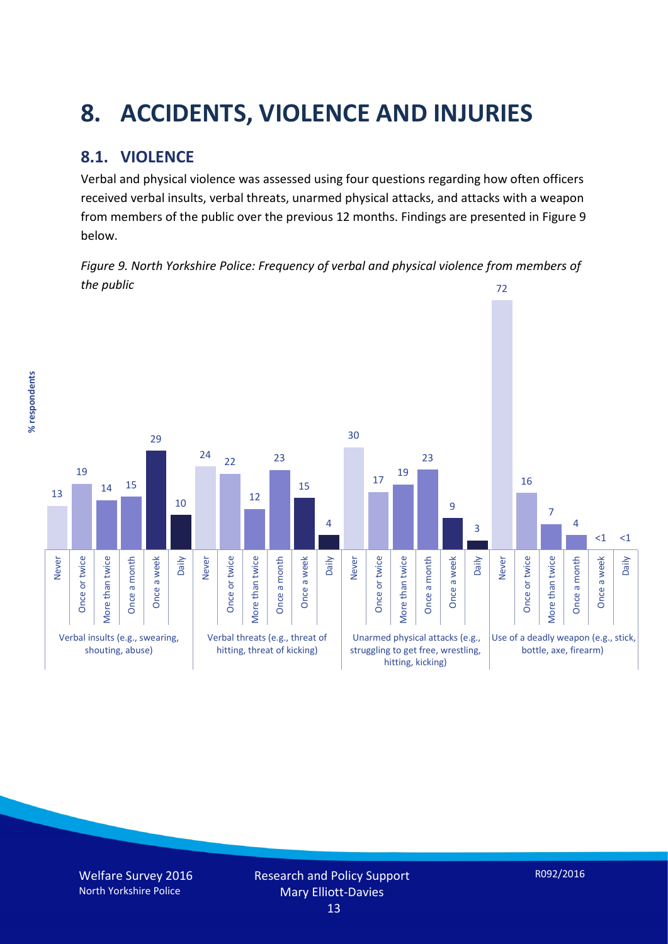# **8. ACCIDENTS, VIOLENCE AND INJURIES**

### **8.1. VIOLENCE**

% respondents **% respondents** Verbal and physical violence was assessed using four questions regarding how often officers received verbal insults, verbal threats, unarmed physical attacks, and attacks with a weapon from members of the public over the previous 12 months. Findings are presented in Figure 9 below.

*Figure 9. North Yorkshire Police: Frequency of verbal and physical violence from members of the public* 72

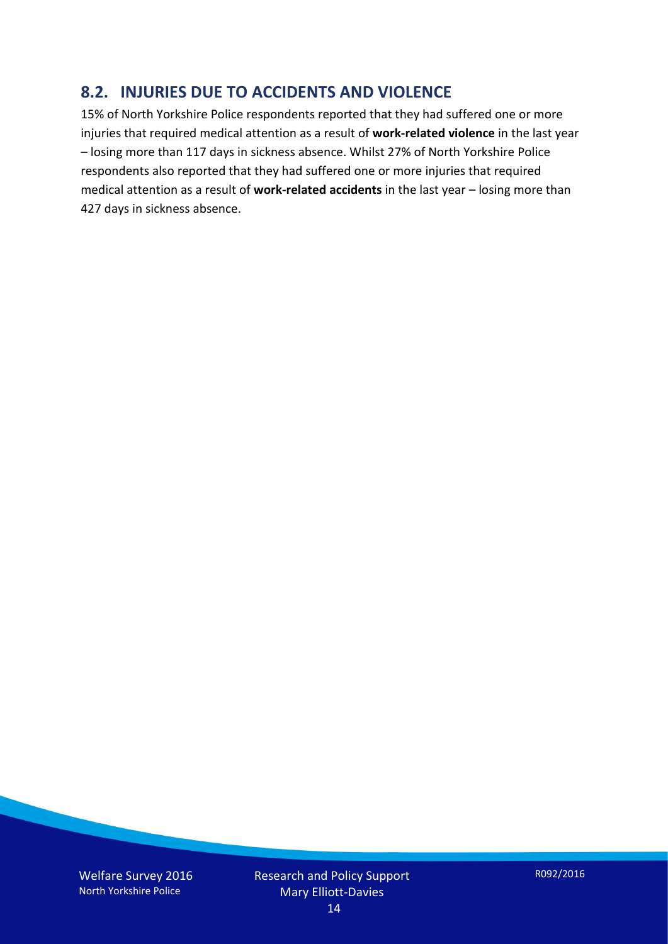#### **8.2. INJURIES DUE TO ACCIDENTS AND VIOLENCE**

15% of North Yorkshire Police respondents reported that they had suffered one or more injuries that required medical attention as a result of **work-related violence** in the last year – losing more than 117 days in sickness absence. Whilst 27% of North Yorkshire Police respondents also reported that they had suffered one or more injuries that required medical attention as a result of **work-related accidents** in the last year – losing more than 427 days in sickness absence.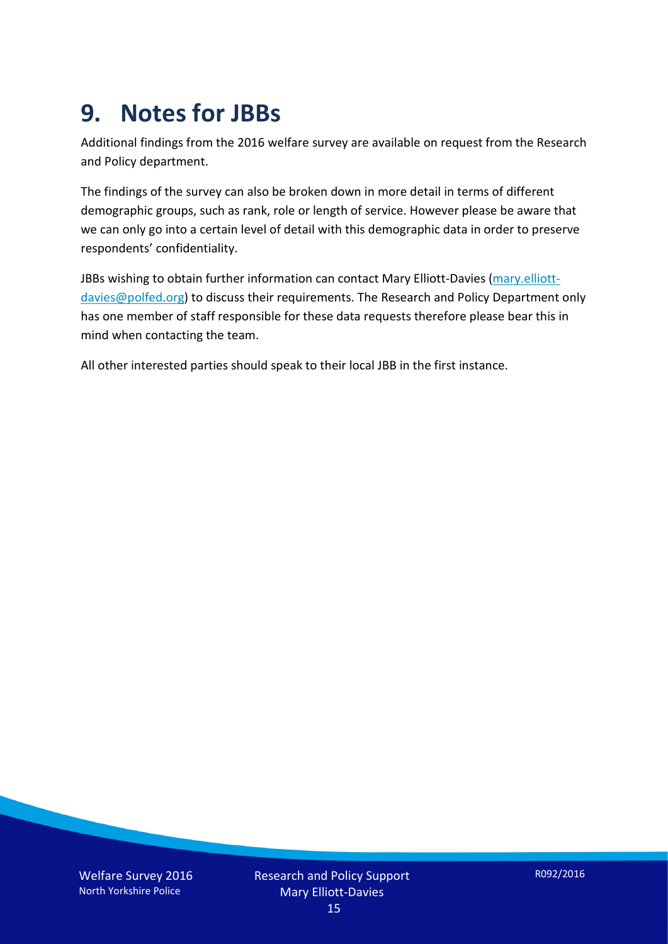### **9. Notes for JBBs**

Additional findings from the 2016 welfare survey are available on request from the Research and Policy department.

The findings of the survey can also be broken down in more detail in terms of different demographic groups, such as rank, role or length of service. However please be aware that we can only go into a certain level of detail with this demographic data in order to preserve respondents' confidentiality.

JBBs wishing to obtain further information can contact Mary Elliott-Davies [\(mary.elliott](mailto:mary.elliott-davies@polfed.org)[davies@polfed.org\)](mailto:mary.elliott-davies@polfed.org) to discuss their requirements. The Research and Policy Department only has one member of staff responsible for these data requests therefore please bear this in mind when contacting the team.

All other interested parties should speak to their local JBB in the first instance.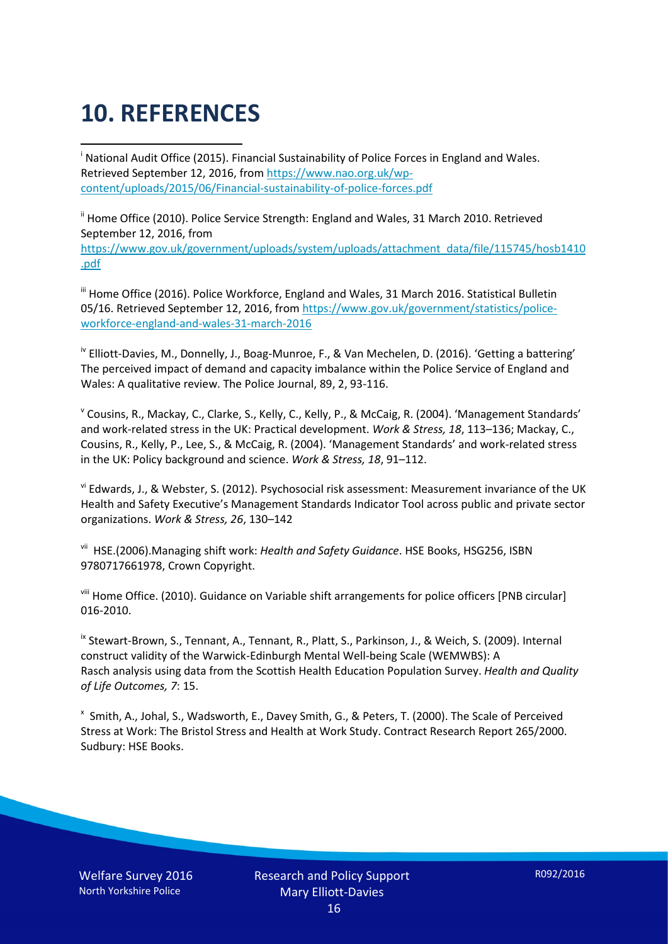# **10. REFERENCES**

<span id="page-15-0"></span>i National Audit Office (2015). Financial Sustainability of Police Forces in England and Wales. Retrieved September 12, 2016, fro[m https://www.nao.org.uk/wp](https://www.nao.org.uk/wp-content/uploads/2015/06/Financial-sustainability-of-police-forces.pdf)[content/uploads/2015/06/Financial-sustainability-of-police-forces.pdf](https://www.nao.org.uk/wp-content/uploads/2015/06/Financial-sustainability-of-police-forces.pdf)

<span id="page-15-1"></span><sup>ii</sup> Home Office (2010). Police Service Strength: England and Wales, 31 March 2010. Retrieved September 12, 2016, from [https://www.gov.uk/government/uploads/system/uploads/attachment\\_data/file/115745/hosb1410](https://www.gov.uk/government/uploads/system/uploads/attachment_data/file/115745/hosb1410.pdf) [.pdf](https://www.gov.uk/government/uploads/system/uploads/attachment_data/file/115745/hosb1410.pdf)

<span id="page-15-2"></span><sup>iii</sup> Home Office (2016). Police Workforce, England and Wales, 31 March 2016. Statistical Bulletin 05/16. Retrieved September 12, 2016, fro[m https://www.gov.uk/government/statistics/police](https://www.gov.uk/government/statistics/police-workforce-england-and-wales-31-march-2016)[workforce-england-and-wales-31-march-2016](https://www.gov.uk/government/statistics/police-workforce-england-and-wales-31-march-2016)

<span id="page-15-3"></span><sup>iv</sup> Elliott-Davies, M., Donnelly, J., Boag-Munroe, F., & Van Mechelen, D. (2016). 'Getting a battering' The perceived impact of demand and capacity imbalance within the Police Service of England and Wales: A qualitative review. The Police Journal, 89, 2, 93-116.

<span id="page-15-4"></span><sup>v</sup> Cousins, R., Mackay, C., Clarke, S., Kelly, C., Kelly, P., & McCaig, R. (2004). 'Management Standards' and work-related stress in the UK: Practical development. *Work & Stress, 18*, 113–136; Mackay, C., Cousins, R., Kelly, P., Lee, S., & McCaig, R. (2004). 'Management Standards' and work-related stress in the UK: Policy background and science. *Work & Stress, 18*, 91–112.

<span id="page-15-5"></span>vi Edwards, J., & Webster, S. (2012). Psychosocial risk assessment: Measurement invariance of the UK Health and Safety Executive's Management Standards Indicator Tool across public and private sector organizations. *Work & Stress, 26*, 130–142

<span id="page-15-6"></span>vii HSE.(2006).Managing shift work: *Health and Safety Guidance*. HSE Books, HSG256, ISBN 9780717661978, Crown Copyright.

<span id="page-15-7"></span>viii Home Office. (2010). Guidance on Variable shift arrangements for police officers [PNB circular] 016-2010.

<span id="page-15-8"></span><sup>ix</sup> Stewart-Brown, S., Tennant, A., Tennant, R., Platt, S., Parkinson, J., & Weich, S. (2009). Internal construct validity of the Warwick-Edinburgh Mental Well-being Scale (WEMWBS): A Rasch analysis using data from the Scottish Health Education Population Survey. *Health and Quality of Life Outcomes, 7*: 15.

<span id="page-15-9"></span>x Smith, A., Johal, S., Wadsworth, E., Davey Smith, G., & Peters, T. (2000). The Scale of Perceived Stress at Work: The Bristol Stress and Health at Work Study. Contract Research Report 265/2000. Sudbury: HSE Books.